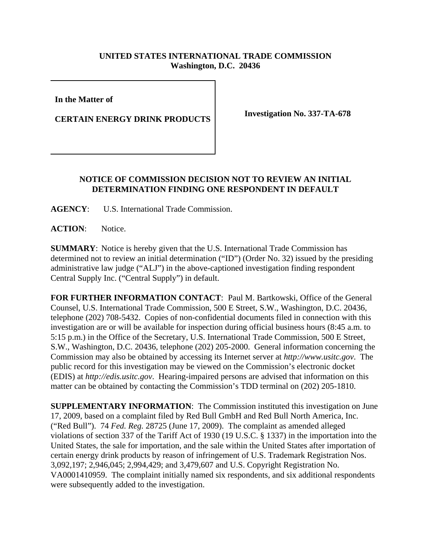## **UNITED STATES INTERNATIONAL TRADE COMMISSION Washington, D.C. 20436**

**In the Matter of** 

**CERTAIN ENERGY DRINK PRODUCTS** Investigation No. 337-TA-678

## **NOTICE OF COMMISSION DECISION NOT TO REVIEW AN INITIAL DETERMINATION FINDING ONE RESPONDENT IN DEFAULT**

**AGENCY**: U.S. International Trade Commission.

**ACTION**: Notice.

**SUMMARY**: Notice is hereby given that the U.S. International Trade Commission has determined not to review an initial determination ("ID") (Order No. 32) issued by the presiding administrative law judge ("ALJ") in the above-captioned investigation finding respondent Central Supply Inc. ("Central Supply") in default.

**FOR FURTHER INFORMATION CONTACT**: Paul M. Bartkowski, Office of the General Counsel, U.S. International Trade Commission, 500 E Street, S.W., Washington, D.C. 20436, telephone (202) 708-5432. Copies of non-confidential documents filed in connection with this investigation are or will be available for inspection during official business hours (8:45 a.m. to 5:15 p.m.) in the Office of the Secretary, U.S. International Trade Commission, 500 E Street, S.W., Washington, D.C. 20436, telephone (202) 205-2000. General information concerning the Commission may also be obtained by accessing its Internet server at *http://www.usitc.gov*. The public record for this investigation may be viewed on the Commission's electronic docket (EDIS) at *http://edis.usitc.gov*. Hearing-impaired persons are advised that information on this matter can be obtained by contacting the Commission's TDD terminal on (202) 205-1810.

**SUPPLEMENTARY INFORMATION**: The Commission instituted this investigation on June 17, 2009, based on a complaint filed by Red Bull GmbH and Red Bull North America, Inc. ("Red Bull"). 74 *Fed. Reg.* 28725 (June 17, 2009). The complaint as amended alleged violations of section 337 of the Tariff Act of 1930 (19 U.S.C. § 1337) in the importation into the United States, the sale for importation, and the sale within the United States after importation of certain energy drink products by reason of infringement of U.S. Trademark Registration Nos. 3,092,197; 2,946,045; 2,994,429; and 3,479,607 and U.S. Copyright Registration No. VA0001410959. The complaint initially named six respondents, and six additional respondents were subsequently added to the investigation.